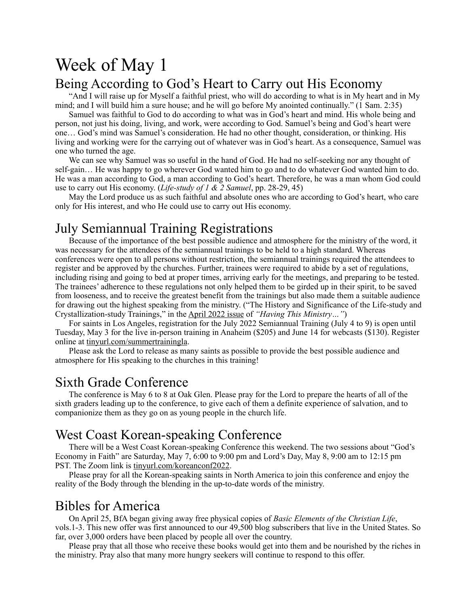# Week of May 1 Being According to God's Heart to Carry out His Economy

"And I will raise up for Myself a faithful priest, who will do according to what is in My heart and in My mind; and I will build him a sure house; and he will go before My anointed continually." (1 Sam. 2:35)

Samuel was faithful to God to do according to what was in God's heart and mind. His whole being and person, not just his doing, living, and work, were according to God. Samuel's being and God's heart were one… God's mind was Samuel's consideration. He had no other thought, consideration, or thinking. His living and working were for the carrying out of whatever was in God's heart. As a consequence, Samuel was one who turned the age.

We can see why Samuel was so useful in the hand of God. He had no self-seeking nor any thought of self-gain… He was happy to go wherever God wanted him to go and to do whatever God wanted him to do. He was a man according to God, a man according to God's heart. Therefore, he was a man whom God could use to carry out His economy. (*Life-study of 1 & 2 Samuel*, pp. 28-29, 45)

May the Lord produce us as such faithful and absolute ones who are according to God's heart, who care only for His interest, and who He could use to carry out His economy.

#### July Semiannual Training Registrations

Because of the importance of the best possible audience and atmosphere for the ministry of the word, it was necessary for the attendees of the semiannual trainings to be held to a high standard. Whereas conferences were open to all persons without restriction, the semiannual trainings required the attendees to register and be approved by the churches. Further, trainees were required to abide by a set of regulations, including rising and going to bed at proper times, arriving early for the meetings, and preparing to be tested. The trainees' adherence to these regulations not only helped them to be girded up in their spirit, to be saved from looseness, and to receive the greatest benefit from the trainings but also made them a suitable audience for drawing out the highest speaking from the ministry. ("The History and Significance of the Life-study and Crystallization-study Trainings," in the [April 2022 issue](https://newsletters.lsm.org/having-this-ministry/issues/Apr2022-012/history-significance-of-training.html) of *"Having This Ministry…"*)

For saints in Los Angeles, registration for the July 2022 Semiannual Training (July 4 to 9) is open until Tuesday, May 3 for the live in-person training in Anaheim (\$205) and June 14 for webcasts (\$130). Register online at [tinyurl.com/summertrainingla.](http://tinyurl.com/summertrainingla)

Please ask the Lord to release as many saints as possible to provide the best possible audience and atmosphere for His speaking to the churches in this training!

#### Sixth Grade Conference

The conference is May 6 to 8 at Oak Glen. Please pray for the Lord to prepare the hearts of all of the sixth graders leading up to the conference, to give each of them a definite experience of salvation, and to companionize them as they go on as young people in the church life.

#### West Coast Korean-speaking Conference

There will be a West Coast Korean-speaking Conference this weekend. The two sessions about "God's Economy in Faith" are Saturday, May 7, 6:00 to 9:00 pm and Lord's Day, May 8, 9:00 am to 12:15 pm PST. The Zoom link is [tinyurl.com/koreanconf2022.](http://tinyurl.com/koreanconf2021)

Please pray for all the Korean-speaking saints in North America to join this conference and enjoy the reality of the Body through the blending in the up-to-date words of the ministry.

#### Bibles for America

On April 25, BfA began giving away free physical copies of *Basic Elements of the Christian Life*, vols.1-3. This new offer was first announced to our 49,500 blog subscribers that live in the United States. So far, over 3,000 orders have been placed by people all over the country.

Please pray that all those who receive these books would get into them and be nourished by the riches in the ministry. Pray also that many more hungry seekers will continue to respond to this offer.